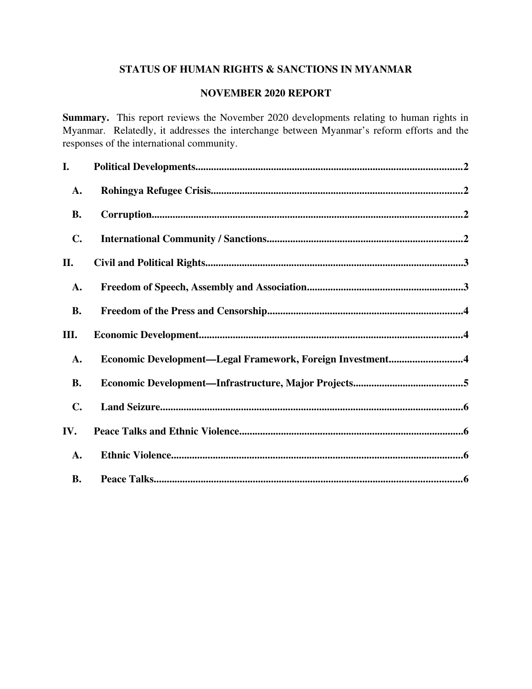# STATUS OF HUMAN RIGHTS & SANCTIONS IN MYANMAR

# NOVEMBER 2020 REPORT

Summary. This report reviews the November 2020 developments relating to human rights in Myanmar. Relatedly, it addresses the interchange between Myanmar's reform efforts and the responses of the international community.

| I.             |                                                           |
|----------------|-----------------------------------------------------------|
| A.             |                                                           |
| <b>B.</b>      |                                                           |
| $\mathbf{C}$ . |                                                           |
| II.            |                                                           |
| A.             |                                                           |
| <b>B.</b>      |                                                           |
|                |                                                           |
| Ш.             |                                                           |
| A.             | Economic Development-Legal Framework, Foreign Investment4 |
| <b>B.</b>      |                                                           |
| $\mathbf{C}$ . |                                                           |
| IV.            |                                                           |
| A.             |                                                           |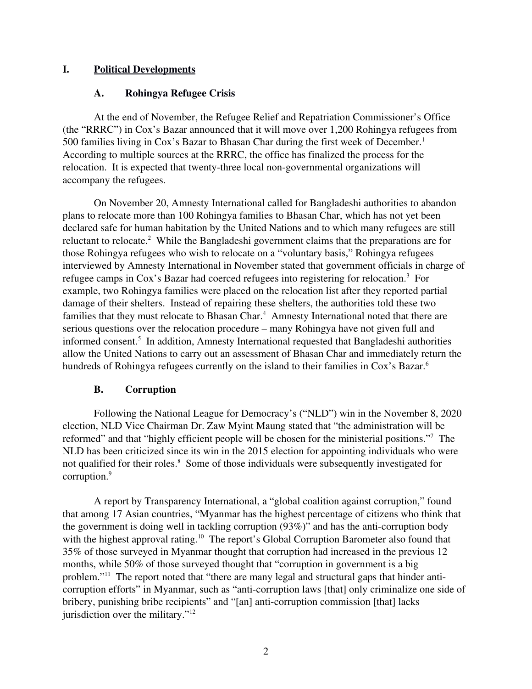# I. Political Developments

# <span id="page-1-2"></span><span id="page-1-0"></span>A. Rohingya Refugee Crisis

At the end of November, the Refugee Relief and Repatriation Commissioner's Office (the "RRRC") in Cox's Bazar announced that it will move over 1,200 Rohingya refugees from 500 families living in Cox's Bazar to Bhasan Char during the first week of December.<sup>1</sup> According to multiple sources at the RRRC, the office has finalized the process for the relocation. It is expected that twenty-three local non-governmental organizations will accompany the refugees.

On November 20, Amnesty International called for Bangladeshi authorities to abandon plans to relocate more than 100 Rohingya families to Bhasan Char, which has not yet been declared safe for human habitation by the United Nations and to which many refugees are still reluctant to relocate.<sup>2</sup> While the Bangladeshi government claims that the preparations are for those Rohingya refugees who wish to relocate on a "voluntary basis," Rohingya refugees interviewed by Amnesty International in November stated that government officials in charge of refugee camps in Cox's Bazar had coerced refugees into registering for relocation.<sup>3</sup> For example, two Rohingya families were placed on the relocation list after they reported partial damage of their shelters. Instead of repairing these shelters, the authorities told these two families that they must relocate to Bhasan Char.<sup>4</sup> Amnesty International noted that there are serious questions over the relocation procedure – many Rohingya have not given full and informed consent.<sup>5</sup> In addition, Amnesty International requested that Bangladeshi authorities allow the United Nations to carry out an assessment of Bhasan Char and immediately return the hundreds of Rohingya refugees currently on the island to their families in Cox's Bazar.<sup>6</sup>

# <span id="page-1-1"></span>B. Corruption

Following the National League for Democracy's ("NLD") win in the November 8, 2020 election, NLD Vice Chairman Dr. Zaw Myint Maung stated that "the administration will be reformed" and that "highly efficient people will be chosen for the ministerial positions."<sup>7</sup> The NLD has been criticized since its win in the 2015 election for appointing individuals who were not qualified for their roles.<sup>8</sup> Some of those individuals were subsequently investigated for corruption.<sup>9</sup>

A report by Transparency International, a "global coalition against corruption," found that among 17 Asian countries, "Myanmar has the highest percentage of citizens who think that the government is doing well in tackling corruption  $(93\%)$ " and has the anti-corruption body with the highest approval rating.<sup>10</sup> The report's Global Corruption Barometer also found that 35% of those surveyed in Myanmar thought that corruption had increased in the previous 12 months, while 50% of those surveyed thought that "corruption in government is a big problem."11 The report noted that "there are many legal and structural gaps that hinder anticorruption efforts" in Myanmar, such as "anti-corruption laws [that] only criminalize one side of bribery, punishing bribe recipients" and "[an] anti-corruption commission [that] lacks jurisdiction over the military."<sup>12</sup>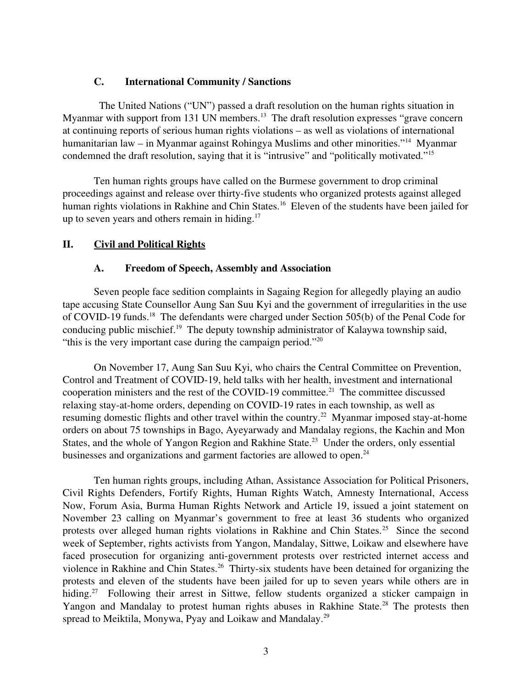## <span id="page-2-2"></span>C. International Community / Sanctions

 The United Nations ("UN") passed a draft resolution on the human rights situation in Myanmar with support from 131 UN members.<sup>13</sup> The draft resolution expresses "grave concern at continuing reports of serious human rights violations – as well as violations of international humanitarian law – in Myanmar against Rohingya Muslims and other minorities."<sup>14</sup> Myanmar condemned the draft resolution, saying that it is "intrusive" and "politically motivated."<sup>15</sup>

Ten human rights groups have called on the Burmese government to drop criminal proceedings against and release over thirty-five students who organized protests against alleged human rights violations in Rakhine and Chin States.<sup>16</sup> Eleven of the students have been jailed for up to seven years and others remain in hiding. $17$ 

# II. Civil and Political Rights

## <span id="page-2-1"></span><span id="page-2-0"></span>A. Freedom of Speech, Assembly and Association

Seven people face sedition complaints in Sagaing Region for allegedly playing an audio tape accusing State Counsellor Aung San Suu Kyi and the government of irregularities in the use of COVID-19 funds.<sup>18</sup> The defendants were charged under Section 505(b) of the Penal Code for conducing public mischief.<sup>19</sup> The deputy township administrator of Kalaywa township said, "this is the very important case during the campaign period."<sup>20</sup>

On November 17, Aung San Suu Kyi, who chairs the Central Committee on Prevention, Control and Treatment of COVID-19, held talks with her health, investment and international cooperation ministers and the rest of the COVID-19 committee.<sup>21</sup> The committee discussed relaxing stay-at-home orders, depending on COVID-19 rates in each township, as well as resuming domestic flights and other travel within the country.<sup>22</sup> Myanmar imposed stay-at-home orders on about 75 townships in Bago, Ayeyarwady and Mandalay regions, the Kachin and Mon States, and the whole of Yangon Region and Rakhine State.<sup>23</sup> Under the orders, only essential businesses and organizations and garment factories are allowed to open.<sup>24</sup>

Ten human rights groups, including Athan, Assistance Association for Political Prisoners, Civil Rights Defenders, Fortify Rights, Human Rights Watch, Amnesty International, Access Now, Forum Asia, Burma Human Rights Network and Article 19, issued a joint statement on November 23 calling on Myanmar's government to free at least 36 students who organized protests over alleged human rights violations in Rakhine and Chin States.<sup>25</sup> Since the second week of September, rights activists from Yangon, Mandalay, Sittwe, Loikaw and elsewhere have faced prosecution for organizing anti-government protests over restricted internet access and violence in Rakhine and Chin States.<sup>26</sup> Thirty-six students have been detained for organizing the protests and eleven of the students have been jailed for up to seven years while others are in hiding.<sup>27</sup> Following their arrest in Sittwe, fellow students organized a sticker campaign in Yangon and Mandalay to protest human rights abuses in Rakhine State.<sup>28</sup> The protests then spread to Meiktila, Monywa, Pyay and Loikaw and Mandalay.<sup>29</sup>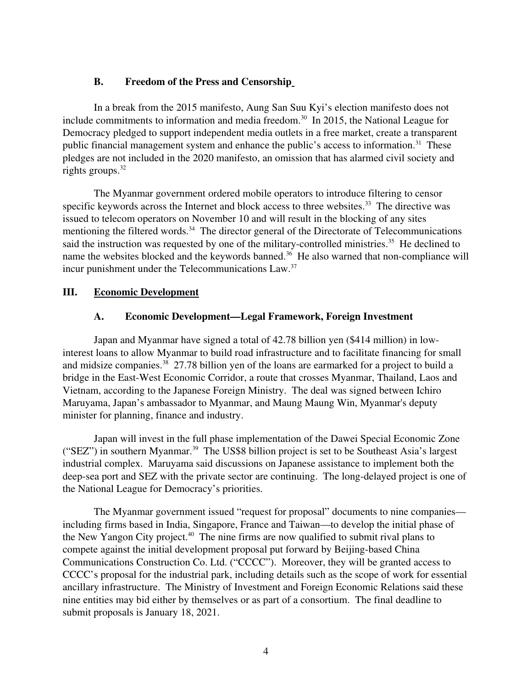## <span id="page-3-2"></span>B. Freedom of the Press and Censorship

In a break from the 2015 manifesto, Aung San Suu Kyi's election manifesto does not include commitments to information and media freedom.<sup>30</sup> In 2015, the National League for Democracy pledged to support independent media outlets in a free market, create a transparent public financial management system and enhance the public's access to information.<sup>31</sup> These pledges are not included in the 2020 manifesto, an omission that has alarmed civil society and rights groups. $32$ 

The Myanmar government ordered mobile operators to introduce filtering to censor specific keywords across the Internet and block access to three websites.<sup>33</sup> The directive was issued to telecom operators on November 10 and will result in the blocking of any sites mentioning the filtered words.<sup>34</sup> The director general of the Directorate of Telecommunications said the instruction was requested by one of the military-controlled ministries.<sup>35</sup> He declined to name the websites blocked and the keywords banned.<sup>36</sup> He also warned that non-compliance will incur punishment under the Telecommunications Law.<sup>37</sup>

# III. Economic Development

## <span id="page-3-1"></span><span id="page-3-0"></span>A. Economic Development—Legal Framework, Foreign Investment

Japan and Myanmar have signed a total of 42.78 billion yen (\$414 million) in lowinterest loans to allow Myanmar to build road infrastructure and to facilitate financing for small and midsize companies.<sup>38</sup> 27.78 billion yen of the loans are earmarked for a project to build a bridge in the East-West Economic Corridor, a route that crosses Myanmar, Thailand, Laos and Vietnam, according to the Japanese Foreign Ministry. The deal was signed between Ichiro Maruyama, Japan's ambassador to Myanmar, and Maung Maung Win, Myanmar's deputy minister for planning, finance and industry.

Japan will invest in the full phase implementation of the Dawei Special Economic Zone ("SEZ") in southern Myanmar.<sup>39</sup> The US\$8 billion project is set to be Southeast Asia's largest industrial complex. Maruyama said discussions on Japanese assistance to implement both the deep-sea port and SEZ with the private sector are continuing. The long-delayed project is one of the National League for Democracy's priorities.

The Myanmar government issued "request for proposal" documents to nine companies including firms based in India, Singapore, France and Taiwan—to develop the initial phase of the New Yangon City project.<sup>40</sup> The nine firms are now qualified to submit rival plans to compete against the initial development proposal put forward by Beijing-based China Communications Construction Co. Ltd. ("CCCC"). Moreover, they will be granted access to CCCC's proposal for the industrial park, including details such as the scope of work for essential ancillary infrastructure. The Ministry of Investment and Foreign Economic Relations said these nine entities may bid either by themselves or as part of a consortium. The final deadline to submit proposals is January 18, 2021.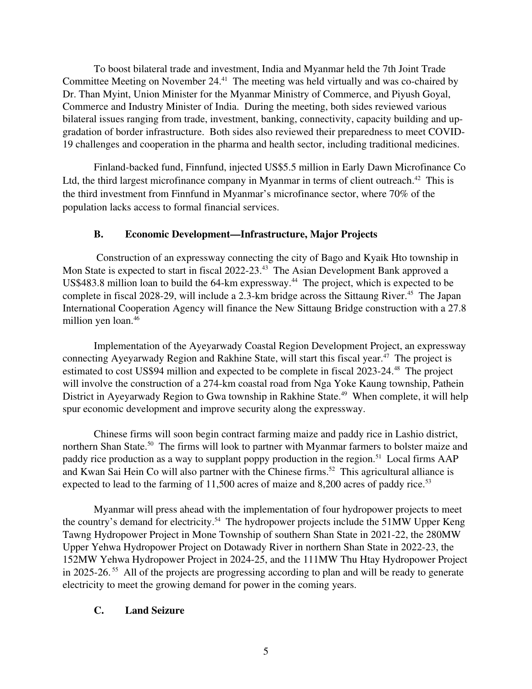To boost bilateral trade and investment, India and Myanmar held the 7th Joint Trade Committee Meeting on November 24.<sup>41</sup> The meeting was held virtually and was co-chaired by Dr. Than Myint, Union Minister for the Myanmar Ministry of Commerce, and Piyush Goyal, Commerce and Industry Minister of India. During the meeting, both sides reviewed various bilateral issues ranging from trade, investment, banking, connectivity, capacity building and upgradation of border infrastructure. Both sides also reviewed their preparedness to meet COVID-19 challenges and cooperation in the pharma and health sector, including traditional medicines.

Finland-backed fund, Finnfund, injected US\$5.5 million in Early Dawn Microfinance Co Ltd, the third largest microfinance company in Myanmar in terms of client outreach.<sup>42</sup> This is the third investment from Finnfund in Myanmar's microfinance sector, where 70% of the population lacks access to formal financial services.

## <span id="page-4-1"></span>B. Economic Development—Infrastructure, Major Projects

 Construction of an expressway connecting the city of Bago and Kyaik Hto township in Mon State is expected to start in fiscal 2022-23.<sup>43</sup> The Asian Development Bank approved a US\$483.8 million loan to build the  $64\text{-}km$  expressway.<sup>44</sup> The project, which is expected to be complete in fiscal 2028-29, will include a 2.3-km bridge across the Sittaung River.<sup>45</sup> The Japan International Cooperation Agency will finance the New Sittaung Bridge construction with a 27.8 million yen loan.<sup>46</sup>

Implementation of the Ayeyarwady Coastal Region Development Project, an expressway connecting Ayeyarwady Region and Rakhine State, will start this fiscal year.<sup>47</sup> The project is estimated to cost US\$94 million and expected to be complete in fiscal  $2023-24$ .<sup>48</sup> The project will involve the construction of a 274-km coastal road from Nga Yoke Kaung township, Pathein District in Ayeyarwady Region to Gwa township in Rakhine State.<sup>49</sup> When complete, it will help spur economic development and improve security along the expressway.

Chinese firms will soon begin contract farming maize and paddy rice in Lashio district, northern Shan State.<sup>50</sup> The firms will look to partner with Myanmar farmers to bolster maize and paddy rice production as a way to supplant poppy production in the region.<sup>51</sup> Local firms AAP and Kwan Sai Hein Co will also partner with the Chinese firms.<sup>52</sup> This agricultural alliance is expected to lead to the farming of  $11,500$  acres of maize and  $8,200$  acres of paddy rice.<sup>53</sup>

Myanmar will press ahead with the implementation of four hydropower projects to meet the country's demand for electricity.<sup>54</sup> The hydropower projects include the 51MW Upper Keng Tawng Hydropower Project in Mone Township of southern Shan State in 2021-22, the 280MW Upper Yehwa Hydropower Project on Dotawady River in northern Shan State in 2022-23, the 152MW Yehwa Hydropower Project in 202425, and the 111MW Thu Htay Hydropower Project in 2025-26.<sup>55</sup> All of the projects are progressing according to plan and will be ready to generate electricity to meet the growing demand for power in the coming years.

# <span id="page-4-0"></span>C. Land Seizure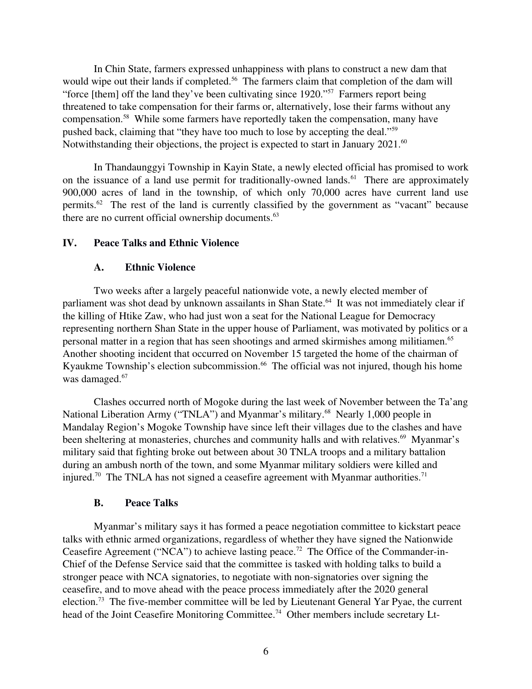In Chin State, farmers expressed unhappiness with plans to construct a new dam that would wipe out their lands if completed.<sup>56</sup> The farmers claim that completion of the dam will "force [them] off the land they've been cultivating since 1920."<sup>57</sup> Farmers report being threatened to take compensation for their farms or, alternatively, lose their farms without any compensation.<sup>58</sup> While some farmers have reportedly taken the compensation, many have pushed back, claiming that "they have too much to lose by accepting the deal."<sup>59</sup> Notwithstanding their objections, the project is expected to start in January 2021.<sup>60</sup>

In Thandaunggyi Township in Kayin State, a newly elected official has promised to work on the issuance of a land use permit for traditionally-owned lands.<sup>61</sup> There are approximately 900,000 acres of land in the township, of which only 70,000 acres have current land use permits.<sup>62</sup> The rest of the land is currently classified by the government as "vacant" because there are no current official ownership documents.<sup>63</sup>

### IV. Peace Talks and Ethnic Violence

### <span id="page-5-2"></span><span id="page-5-1"></span>A. Ethnic Violence

Two weeks after a largely peaceful nationwide vote, a newly elected member of parliament was shot dead by unknown assailants in Shan State.<sup>64</sup> It was not immediately clear if the killing of Htike Zaw, who had just won a seat for the National League for Democracy representing northern Shan State in the upper house of Parliament, was motivated by politics or a personal matter in a region that has seen shootings and armed skirmishes among militiamen.<sup>65</sup> Another shooting incident that occurred on November 15 targeted the home of the chairman of Kyaukme Township's election subcommission.<sup>66</sup> The official was not injured, though his home was damaged.<sup>67</sup>

Clashes occurred north of Mogoke during the last week of November between the Ta'ang National Liberation Army ("TNLA") and Myanmar's military.<sup>68</sup> Nearly 1,000 people in Mandalay Region's Mogoke Township have since left their villages due to the clashes and have been sheltering at monasteries, churches and community halls and with relatives.<sup>69</sup> Myanmar's military said that fighting broke out between about 30 TNLA troops and a military battalion during an ambush north of the town, and some Myanmar military soldiers were killed and injured.<sup>70</sup> The TNLA has not signed a ceasefire agreement with Myanmar authorities.<sup>71</sup>

### <span id="page-5-0"></span>B. Peace Talks

Myanmar's military says it has formed a peace negotiation committee to kickstart peace talks with ethnic armed organizations, regardless of whether they have signed the Nationwide Ceasefire Agreement ("NCA") to achieve lasting peace.<sup>72</sup> The Office of the Commander-in-Chief of the Defense Service said that the committee is tasked with holding talks to build a stronger peace with NCA signatories, to negotiate with nonsignatories over signing the ceasefire, and to move ahead with the peace process immediately after the 2020 general election.<sup>73</sup> The five-member committee will be led by Lieutenant General Yar Pyae, the current head of the Joint Ceasefire Monitoring Committee.<sup>74</sup> Other members include secretary Lt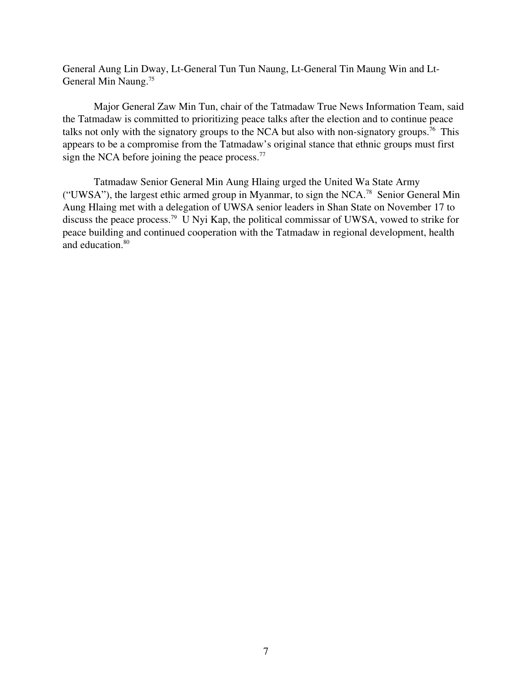General Aung Lin Dway, Lt-General Tun Tun Naung, Lt-General Tin Maung Win and Lt-General Min Naung.<sup>75</sup>

Major General Zaw Min Tun, chair of the Tatmadaw True News Information Team, said the Tatmadaw is committed to prioritizing peace talks after the election and to continue peace talks not only with the signatory groups to the NCA but also with non-signatory groups.<sup>76</sup> This appears to be a compromise from the Tatmadaw's original stance that ethnic groups must first sign the NCA before joining the peace process. $77$ 

Tatmadaw Senior General Min Aung Hlaing urged the United Wa State Army ("UWSA"), the largest ethic armed group in Myanmar, to sign the NCA.<sup>78</sup> Senior General Min Aung Hlaing met with a delegation of UWSA senior leaders in Shan State on November 17 to discuss the peace process.<sup>79</sup> U Nyi Kap, the political commissar of UWSA, vowed to strike for peace building and continued cooperation with the Tatmadaw in regional development, health and education.<sup>80</sup>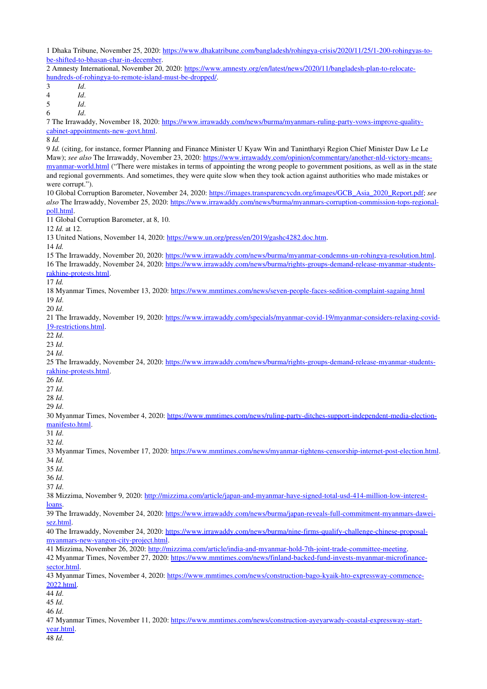1 Dhaka Tribune, November 25, 2020: https://www.dhakatribune.com/bangladesh/rohingya-crisis/2020/11/25/1-200-rohingyas-tobe-shifted-to-bhasan-char-in-december.

2 Amnesty International, November 20, 2020: https://www.amnesty.org/en/latest/news/2020/11/bangladesh-plan-to-relocatehundreds-of-rohingya-to-remote-island-must-be-dropped/.

3 *Id*.

4 *Id*.

5 *Id*.

6 *Id*.

7 The Irrawaddy, November 18, 2020: https://www.irrawaddy.com/news/burma/myanmars-ruling-party-vows-improve-qualitycabinet-appointments-new-govt.html.

8 *Id.*

9 *Id.* (citing, for instance, former Planning and Finance Minister U Kyaw Win and Tanintharyi Region Chief Minister Daw Le Le Maw); see also The Irrawaddy, November 23, 2020: https://www.irrawaddy.com/opinion/commentary/another-nld-victory-meansmyanmar-world.html ("There were mistakes in terms of appointing the wrong people to government positions, as well as in the state and regional governments. And sometimes, they were quite slow when they took action against authorities who made mistakes or were corrupt.").

10 Global Corruption Barometer, November 24, 2020: [https://images.transparencycdn.org/images/GCB\\_Asia\\_2020\\_Report.pdf;](https://images.transparencycdn.org/images/GCB_Asia_2020_Report.pdf) *see also* The Irrawaddy, November 25, 2020: https://www.irrawaddy.com/news/burma/myanmars-corruption-commission-tops-regional[poll.html.](https://www.irrawaddy.com/news/burma/myanmars-corruption-commission-tops-regional-poll.html)

11 Global Corruption Barometer, at 8, 10.

12 *Id.* at 12.

13 United Nations, November 14, 2020: [https://www.un.org/press/en/2019/gashc4282.doc.htm.](https://www.un.org/press/en/2019/gashc4282.doc.htm)

14 *Id.*

15 The Irrawaddy, November 20, 2020: https://www.irrawaddy.com/news/burma/myanmar-condemns-un-rohingya-resolution.html. 16 The Irrawaddy, November 24, 2020: https://www.irrawaddy.com/news/burma/rights-groups-demand-release-myanmar-students-

rakhine-protests.html.

17 *Id.*

18 Myanmar Times, November 13, 2020: https://www.mmtimes.com/news/seven-people-faces-sedition-complaint-sagaing.html 19 *Id*.

20 *Id*.

21 The Irrawaddy, November 19, 2020: https://www.irrawaddy.com/specials/myanmar-covid-19/myanmar-considers-relaxing-covid-19-restrictions.html.

22 *Id*.

23 *Id*.

24 *Id*.

25 The Irrawaddy, November 24, 2020: https://www.irrawaddy.com/news/burma/rights-groups-demand-release-myanmar-studentsrakhine-protests.html.

26 *Id*.

27 *Id*.

28 *Id*.

29 *Id*.

30 Myanmar Times, November 4, 2020: https://www.mmtimes.com/news/ruling-party-ditches-support-independent-media-election[manifesto.html.](https://www.mmtimes.com/news/ruling-party-ditches-support-independent-media-election-manifesto.html)

31 *Id*.

32 *Id*.

33 Myanmar Times, November 17, 2020: https://www.mmtimes.com/news/myanmar-tightens-censorship-internet-post-election.html. 34 *Id*.

35 *Id*.

36 *Id*.

37 *Id*.

38 Mizzima, November 9, 2020: http://mizzima.com/article/japan-and-myanmar-have-signed-total-usd-414-million-low-interest[loans.](http://mizzima.com/article/japan-and-myanmar-have-signed-total-usd-414-million-low-interest-loans)

39 The Irrawaddy, November 24, 2020: https://www.irrawaddy.com/news/burma/japan-reveals-full-commitment-myanmars-dawei[sez.html.](https://www.irrawaddy.com/news/burma/japan-reveals-full-commitment-myanmars-dawei-sez.html)

40 The Irrawaddy, November 24, 2020: https://www.irrawaddy.com/news/burma/nine-firms-qualify-challenge-chinese-proposalmyanmars-new-yangon-city-project.html.

41 Mizzima, November 26, 2020: http://mizzima.com/article/india-and-myanmar-hold-7th-joint-trade-committee-meeting.

42 Myanmar Times, November 27, 2020: https://www.mmtimes.com/news/finland-backed-fund-invests-myanmar-microfinance[sector.html.](https://www.mmtimes.com/news/finland-backed-fund-invests-myanmar-microfinance-sector.html)

43 Myanmar Times, November 4, 2020: https://www.mmtimes.com/news/construction-bago-kyaik-hto-expressway-commence-[2022.html.](https://www.mmtimes.com/news/construction-bago-kyaik-hto-expressway-commence-2022.html)

44 *Id*.

45 *Id*.

46 *Id*.

47 Myanmar Times, November 11, 2020: https://www.mmtimes.com/news/construction-ayeyarwady-coastal-expressway-start[year.html.](https://www.mmtimes.com/news/construction-ayeyarwady-coastal-expressway-start-year.html)

48 *Id*.